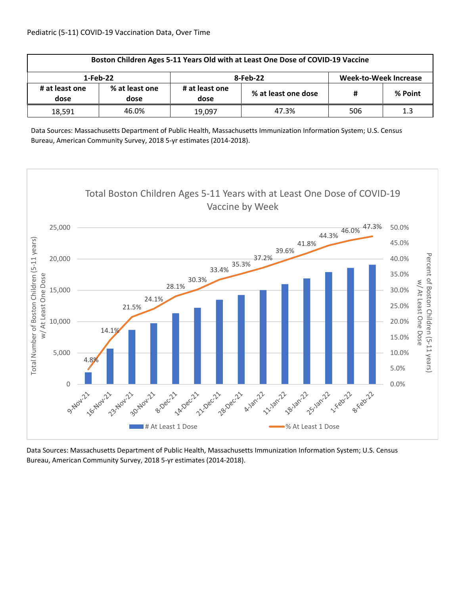| Boston Children Ages 5-11 Years Old with at Least One Dose of COVID-19 Vaccine |                        |                        |                     |                       |         |  |  |
|--------------------------------------------------------------------------------|------------------------|------------------------|---------------------|-----------------------|---------|--|--|
| 1-Feb-22                                                                       |                        |                        | 8-Feb-22            | Week-to-Week Increase |         |  |  |
| # at least one<br>dose                                                         | % at least one<br>dose | # at least one<br>dose | % at least one dose | #                     | % Point |  |  |
| 18.591                                                                         | 46.0%                  | 19.097                 | 47.3%               | 506                   | 1.3     |  |  |

Data Sources: Massachusetts Department of Public Health, Massachusetts Immunization Information System; U.S. Census Bureau, American Community Survey, 2018 5‐yr estimates (2014‐2018).

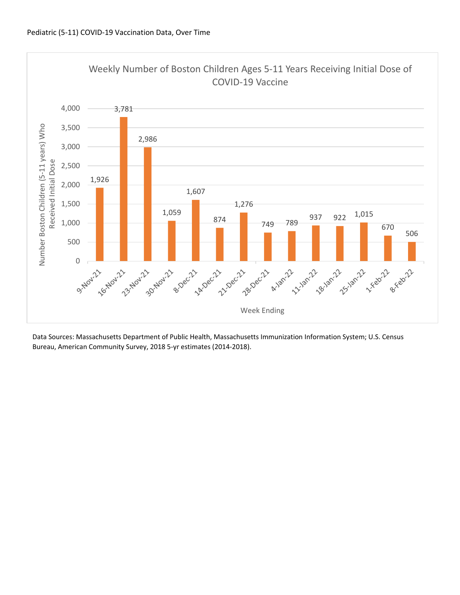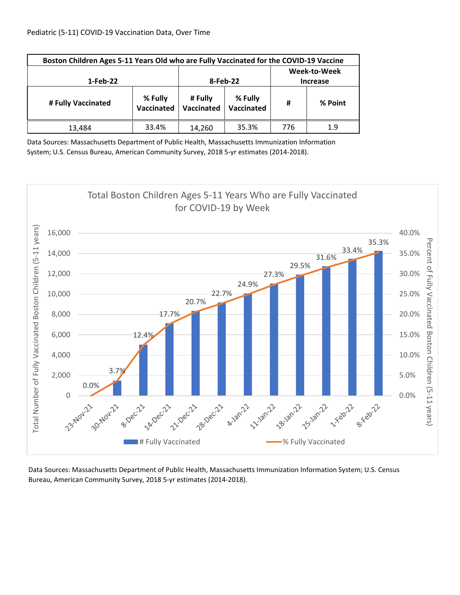| Boston Children Ages 5-11 Years Old who are Fully Vaccinated for the COVID-19 Vaccine |                       |          |                                 |     |         |  |  |
|---------------------------------------------------------------------------------------|-----------------------|----------|---------------------------------|-----|---------|--|--|
| 1-Feb-22                                                                              |                       | 8-Feb-22 | Week-to-Week<br><b>Increase</b> |     |         |  |  |
| # Fully Vaccinated                                                                    | % Fully<br>Vaccinated |          | % Fully<br>Vaccinated           | #   | % Point |  |  |
| 13,484                                                                                | 33.4%                 | 14,260   | 35.3%                           | 776 | 1.9     |  |  |

Data Sources: Massachusetts Department of Public Health, Massachusetts Immunization Information System; U.S. Census Bureau, American Community Survey, 2018 5‐yr estimates (2014‐2018).

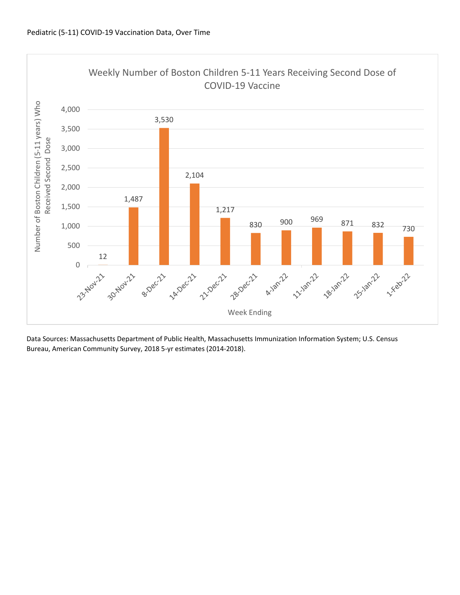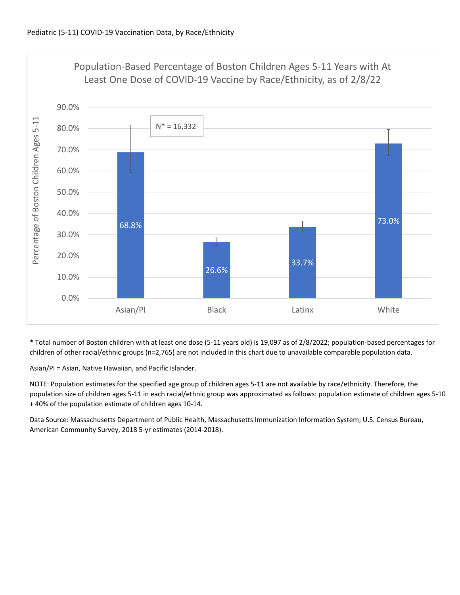

\* Total number of Boston children with at least one dose (5‐11 years old) is 19,097 as of 2/8/2022; population‐based percentages for children of other racial/ethnic groups (n=2,765) are not included in this chart due to unavailable comparable population data.

Asian/PI = Asian, Native Hawaiian, and Pacific Islander.

NOTE: Population estimates for the specified age group of children ages 5‐11 are not available by race/ethnicity. Therefore, the population size of children ages 5‐11 in each racial/ethnic group was approximated as follows: population estimate of children ages 5‐10 + 40% of the population estimate of children ages 10‐14.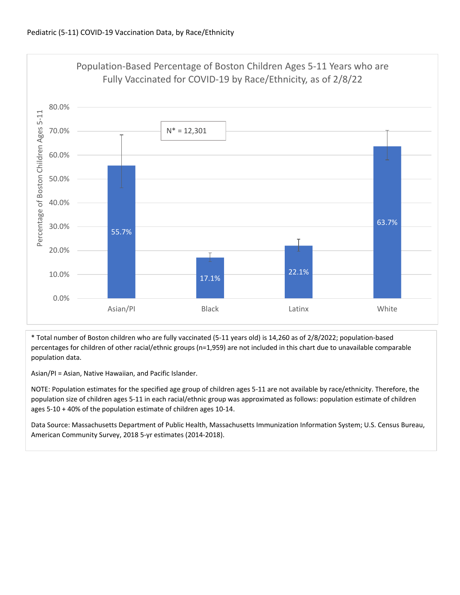

\* Total number of Boston children who are fully vaccinated (5‐11 years old) is 14,260 as of 2/8/2022; population‐based percentages for children of other racial/ethnic groups (n=1,959) are not included in this chart due to unavailable comparable population data.

Asian/PI = Asian, Native Hawaiian, and Pacific Islander.

NOTE: Population estimates for the specified age group of children ages 5‐11 are not available by race/ethnicity. Therefore, the population size of children ages 5‐11 in each racial/ethnic group was approximated as follows: population estimate of children ages 5‐10 + 40% of the population estimate of children ages 10‐14.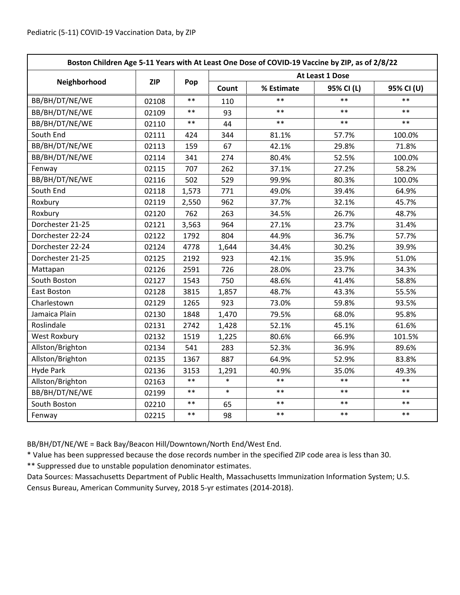| Boston Children Age 5-11 Years with At Least One Dose of COVID-19 Vaccine by ZIP, as of 2/8/22 |            |       |                 |            |            |            |  |
|------------------------------------------------------------------------------------------------|------------|-------|-----------------|------------|------------|------------|--|
|                                                                                                | <b>ZIP</b> | Pop   | At Least 1 Dose |            |            |            |  |
| Neighborhood                                                                                   |            |       | Count           | % Estimate | 95% CI (L) | 95% CI (U) |  |
| BB/BH/DT/NE/WE                                                                                 | 02108      | $**$  | 110             | $**$       | $**$       | $**$       |  |
| BB/BH/DT/NE/WE                                                                                 | 02109      | $***$ | 93              | $**$       | $**$       | $**$       |  |
| BB/BH/DT/NE/WE                                                                                 | 02110      | $***$ | 44              | $***$      | $***$      | $***$      |  |
| South End                                                                                      | 02111      | 424   | 344             | 81.1%      | 57.7%      | 100.0%     |  |
| BB/BH/DT/NE/WE                                                                                 | 02113      | 159   | 67              | 42.1%      | 29.8%      | 71.8%      |  |
| BB/BH/DT/NE/WE                                                                                 | 02114      | 341   | 274             | 80.4%      | 52.5%      | 100.0%     |  |
| Fenway                                                                                         | 02115      | 707   | 262             | 37.1%      | 27.2%      | 58.2%      |  |
| BB/BH/DT/NE/WE                                                                                 | 02116      | 502   | 529             | 99.9%      | 80.3%      | 100.0%     |  |
| South End                                                                                      | 02118      | 1,573 | 771             | 49.0%      | 39.4%      | 64.9%      |  |
| Roxbury                                                                                        | 02119      | 2,550 | 962             | 37.7%      | 32.1%      | 45.7%      |  |
| Roxbury                                                                                        | 02120      | 762   | 263             | 34.5%      | 26.7%      | 48.7%      |  |
| Dorchester 21-25                                                                               | 02121      | 3,563 | 964             | 27.1%      | 23.7%      | 31.4%      |  |
| Dorchester 22-24                                                                               | 02122      | 1792  | 804             | 44.9%      | 36.7%      | 57.7%      |  |
| Dorchester 22-24                                                                               | 02124      | 4778  | 1,644           | 34.4%      | 30.2%      | 39.9%      |  |
| Dorchester 21-25                                                                               | 02125      | 2192  | 923             | 42.1%      | 35.9%      | 51.0%      |  |
| Mattapan                                                                                       | 02126      | 2591  | 726             | 28.0%      | 23.7%      | 34.3%      |  |
| South Boston                                                                                   | 02127      | 1543  | 750             | 48.6%      | 41.4%      | 58.8%      |  |
| East Boston                                                                                    | 02128      | 3815  | 1,857           | 48.7%      | 43.3%      | 55.5%      |  |
| Charlestown                                                                                    | 02129      | 1265  | 923             | 73.0%      | 59.8%      | 93.5%      |  |
| Jamaica Plain                                                                                  | 02130      | 1848  | 1,470           | 79.5%      | 68.0%      | 95.8%      |  |
| Roslindale                                                                                     | 02131      | 2742  | 1,428           | 52.1%      | 45.1%      | 61.6%      |  |
| West Roxbury                                                                                   | 02132      | 1519  | 1,225           | 80.6%      | 66.9%      | 101.5%     |  |
| Allston/Brighton                                                                               | 02134      | 541   | 283             | 52.3%      | 36.9%      | 89.6%      |  |
| Allston/Brighton                                                                               | 02135      | 1367  | 887             | 64.9%      | 52.9%      | 83.8%      |  |
| <b>Hyde Park</b>                                                                               | 02136      | 3153  | 1,291           | 40.9%      | 35.0%      | 49.3%      |  |
| Allston/Brighton                                                                               | 02163      | $***$ | $\ast$          | $***$      | $***$      | $***$      |  |
| BB/BH/DT/NE/WE                                                                                 | 02199      | $***$ | $\ast$          | $***$      | $***$      | $***$      |  |
| South Boston                                                                                   | 02210      | $**$  | 65              | $**$       | $**$       | $**$       |  |
| Fenway                                                                                         | 02215      | $***$ | 98              | $***$      | $***$      | $***$      |  |

BB/BH/DT/NE/WE = Back Bay/Beacon Hill/Downtown/North End/West End.

\* Value has been suppressed because the dose records number in the specified ZIP code area is less than 30.

\*\* Suppressed due to unstable population denominator estimates.